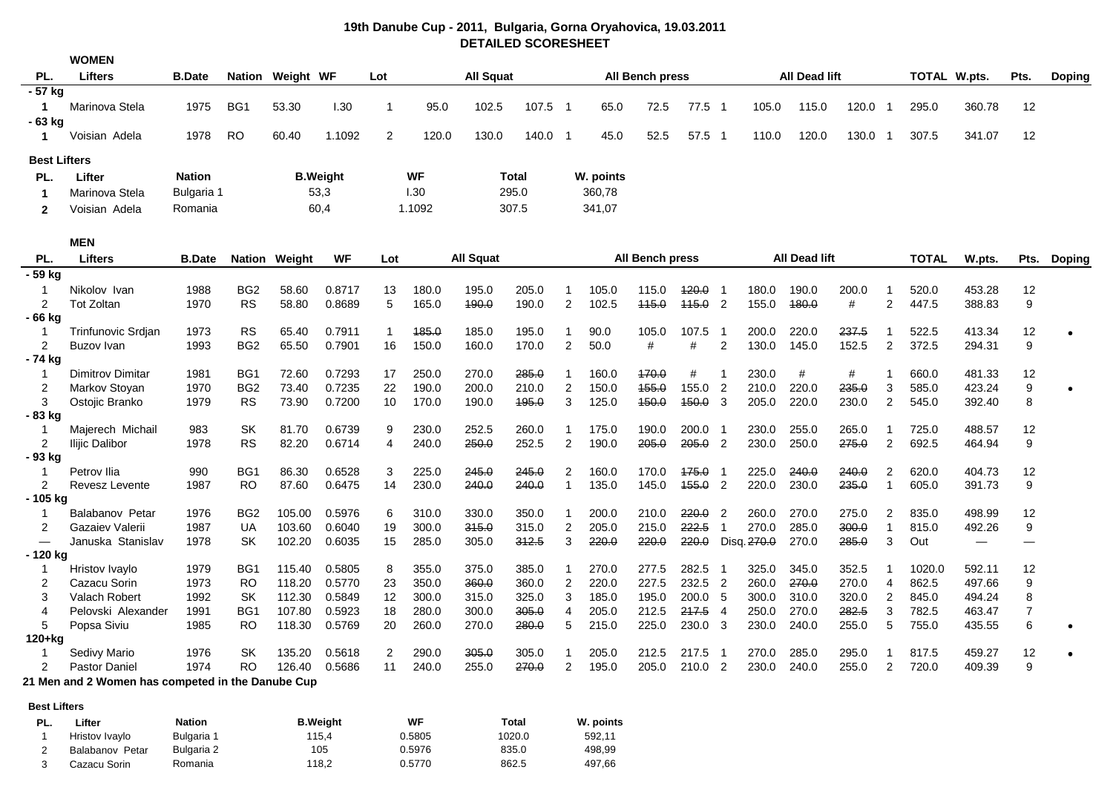|                                      | <b>WOMEN</b>                                      |               |                              |                  |                  |                   |                |                  |                |                     |              |                        |                  |                            |                |                      |                |                |                |                          |                          |               |
|--------------------------------------|---------------------------------------------------|---------------|------------------------------|------------------|------------------|-------------------|----------------|------------------|----------------|---------------------|--------------|------------------------|------------------|----------------------------|----------------|----------------------|----------------|----------------|----------------|--------------------------|--------------------------|---------------|
| PL.                                  | <b>Lifters</b>                                    | <b>B.Date</b> |                              | Nation Weight WF |                  | Lot               |                | <b>All Squat</b> |                |                     |              | <b>All Bench press</b> |                  |                            |                | All Dead lift        |                |                | TOTAL W.pts.   |                          | Pts.                     | <b>Doping</b> |
| $-57$ kg                             |                                                   |               |                              |                  |                  |                   |                |                  |                |                     |              |                        |                  |                            |                |                      |                |                |                |                          |                          |               |
| 1                                    | Marinova Stela                                    | 1975          | BG1                          | 53.30            | 1.30             | $\mathbf 1$       | 95.0           | 102.5            | 107.5 1        |                     | 65.0         | 72.5                   | 77.5 1           |                            | 105.0          | 115.0                | $120.0$ 1      |                | 295.0          | 360.78                   | 12                       |               |
| - 63 kg                              |                                                   |               |                              |                  |                  |                   |                |                  |                |                     |              |                        |                  |                            |                |                      |                |                |                |                          |                          |               |
| 1                                    | Voisian Adela                                     | 1978          | <b>RO</b>                    | 60.40            | 1.1092           | 2                 | 120.0          | 130.0            | 140.0 1        |                     | 45.0         | 52.5                   | 57.5 1           |                            | 110.0          | 120.0                | 130.0          | -1             | 307.5          | 341.07                   | 12                       |               |
| <b>Best Lifters</b>                  |                                                   |               |                              |                  |                  |                   |                |                  |                |                     |              |                        |                  |                            |                |                      |                |                |                |                          |                          |               |
| PL.                                  | Lifter                                            | <b>Nation</b> |                              |                  | <b>B.Weight</b>  |                   | <b>WF</b>      |                  | Total          |                     | W. points    |                        |                  |                            |                |                      |                |                |                |                          |                          |               |
| -1                                   | Marinova Stela                                    | Bulgaria 1    |                              |                  | 53,3             |                   | 1.30           |                  | 295.0          |                     | 360,78       |                        |                  |                            |                |                      |                |                |                |                          |                          |               |
| 2                                    | Voisian Adela                                     | Romania       |                              |                  | 60,4             |                   | 1.1092         |                  | 307.5          |                     | 341,07       |                        |                  |                            |                |                      |                |                |                |                          |                          |               |
|                                      |                                                   |               |                              |                  |                  |                   |                |                  |                |                     |              |                        |                  |                            |                |                      |                |                |                |                          |                          |               |
|                                      | <b>MEN</b>                                        |               |                              |                  |                  |                   |                |                  |                |                     |              |                        |                  |                            |                |                      |                |                |                |                          |                          |               |
| PL.                                  | <b>Lifters</b>                                    | <b>B.Date</b> | <b>Nation</b>                | Weight           | <b>WF</b>        | Lot               |                | <b>All Squat</b> |                |                     |              | All Bench press        |                  |                            |                | <b>All Dead lift</b> |                |                | <b>TOTAL</b>   | W.pts.                   | Pts.                     | Doping        |
| 59 kg                                |                                                   |               |                              |                  |                  |                   |                |                  |                |                     |              |                        |                  |                            |                |                      |                |                |                |                          |                          |               |
| -1                                   | Nikolov Ivan                                      | 1988          | BG <sub>2</sub>              | 58.60            | 0.8717           | 13                | 180.0          | 195.0            | 205.0          | 1                   | 105.0        | 115.0                  | 420.0            | - 1                        | 180.0          | 190.0                | 200.0          | -1             | 520.0          | 453.28                   | 12                       |               |
| 2                                    | <b>Tot Zoltan</b>                                 | 1970          | <b>RS</b>                    | 58.80            | 0.8689           | 5                 | 165.0          | 490.0            | 190.0          | $\overline{2}$      | 102.5        | 115.0                  | $445.0$ 2        |                            | 155.0          | 480.0                | #              | 2              | 447.5          | 388.83                   | 9                        |               |
| - 66 kg                              |                                                   |               |                              |                  |                  |                   |                |                  |                |                     |              |                        |                  |                            |                |                      |                |                |                |                          |                          |               |
| $\overline{1}$<br>2                  | Trinfunovic Srdjan<br>Buzov Ivan                  | 1973<br>1993  | <b>RS</b><br>BG <sub>2</sub> | 65.40<br>65.50   | 0.7911<br>0.7901 | $\mathbf 1$<br>16 | 185.0<br>150.0 | 185.0<br>160.0   | 195.0<br>170.0 | $\overline{2}$      | 90.0<br>50.0 | 105.0<br>#             | 107.5<br>#       | - 1<br>$\overline{2}$      | 200.0<br>130.0 | 220.0<br>145.0       | 237.5<br>152.5 | -1<br>2        | 522.5<br>372.5 | 413.34<br>294.31         | 12<br>9                  |               |
| - 74 kg                              |                                                   |               |                              |                  |                  |                   |                |                  |                |                     |              |                        |                  |                            |                |                      |                |                |                |                          |                          |               |
| $\overline{1}$                       | <b>Dimitrov Dimitar</b>                           | 1981          | BG1                          | 72.60            | 0.7293           | 17                | 250.0          | 270.0            | 285.0          | -1                  | 160.0        | 470.0                  | #                | -1                         | 230.0          | #                    | #              | -1             | 660.0          | 481.33                   | 12                       |               |
| 2                                    | Markov Stoyan                                     | 1970          | BG <sub>2</sub>              | 73.40            | 0.7235           | 22                | 190.0          | 200.0            | 210.0          | $\overline{2}$      | 150.0        | 155.0                  | 155.0            | $\overline{2}$             | 210.0          | 220.0                | 235.0          | 3              | 585.0          | 423.24                   | $\boldsymbol{9}$         |               |
| 3                                    | Ostojic Branko                                    | 1979          | <b>RS</b>                    | 73.90            | 0.7200           | 10                | 170.0          | 190.0            | 195.0          | 3                   | 125.0        | 450.0                  | <del>150.0</del> | $\mathbf{3}$               | 205.0          | 220.0                | 230.0          | 2              | 545.0          | 392.40                   | 8                        |               |
| - 83 kg                              |                                                   |               |                              |                  |                  |                   |                |                  |                |                     |              |                        |                  |                            |                |                      |                |                |                |                          |                          |               |
| $\mathbf 1$                          | Majerech Michail                                  | 983           | SK                           | 81.70            | 0.6739           | 9                 | 230.0          | 252.5            | 260.0          |                     | 175.0        | 190.0                  | 200.0            | - 1                        | 230.0          | 255.0                | 265.0          | -1             | 725.0          | 488.57                   | 12                       |               |
| $\overline{2}$                       | Ilijic Dalibor                                    | 1978          | <b>RS</b>                    | 82.20            | 0.6714           | 4                 | 240.0          | 250.0            | 252.5          | $\overline{2}$      | 190.0        | 205.0                  | $205.0$ 2        |                            | 230.0          | 250.0                | 275.0          | $\overline{2}$ | 692.5          | 464.94                   | 9                        |               |
| - 93 kg                              |                                                   |               |                              |                  |                  |                   |                |                  |                |                     |              |                        |                  |                            |                |                      |                |                |                |                          |                          |               |
| -1                                   | Petrov Ilia                                       | 990           | BG1                          | 86.30            | 0.6528           | 3                 | 225.0          | 245.0            | 245.0          | 2                   | 160.0        | 170.0                  | <del>175.0</del> | - 1                        | 225.0          | 240.0                | 240.0          | $\overline{c}$ | 620.0          | 404.73                   | 12                       |               |
| $\overline{2}$                       | Revesz Levente                                    | 1987          | <b>RO</b>                    | 87.60            | 0.6475           | 14                | 230.0          | 240.0            | 240.0          | $\mathbf{1}$        | 135.0        | 145.0                  | $455.0$ 2        |                            | 220.0          | 230.0                | 235.0          | $\mathbf 1$    | 605.0          | 391.73                   | 9                        |               |
| - 105 kg                             |                                                   |               |                              |                  |                  |                   |                |                  |                |                     |              |                        |                  |                            |                |                      |                |                |                |                          |                          |               |
| $\mathbf 1$                          | Balabanov Petar                                   | 1976          | BG <sub>2</sub>              | 105.00           | 0.5976           | 6                 | 310.0          | 330.0            | 350.0          | 1                   | 200.0        | 210.0                  | 220.0            | $\overline{2}$             | 260.0          | 270.0                | 275.0          | 2              | 835.0          | 498.99                   | 12                       |               |
| 2                                    | Gazaiev Valerii                                   | 1987          | UA                           | 103.60           | 0.6040           | 19                | 300.0          | 315.0            | 315.0          | $\overline{c}$<br>3 | 205.0        | 215.0                  | 222.5            | $\mathbf{1}$               | 270.0          | 285.0                | 300.0          | $\mathbf 1$    | 815.0          | 492.26                   | 9                        |               |
| $\overline{\phantom{0}}$<br>- 120 kg | Januska Stanislav                                 | 1978          | SK                           | 102.20           | 0.6035           | 15                | 285.0          | 305.0            | 312.5          |                     | 220.0        | 220.0                  | 220.0            |                            | Disq. 270.0    | 270.0                | 285.0          | 3              | Out            | $\overline{\phantom{m}}$ | $\overline{\phantom{0}}$ |               |
| -1                                   | Hristov Ivaylo                                    | 1979          | BG1                          | 115.40           | 0.5805           | 8                 | 355.0          | 375.0            | 385.0          |                     | 270.0        | 277.5                  | 282.5            | - 1                        | 325.0          | 345.0                | 352.5          | -1             | 1020.0         | 592.11                   | 12                       |               |
| 2                                    | Cazacu Sorin                                      | 1973          | <b>RO</b>                    | 118.20           | 0.5770           | 23                | 350.0          | 360.0            | 360.0          | 2                   | 220.0        | 227.5                  | 232.5 2          |                            | 260.0          | 270.0                | 270.0          | 4              | 862.5          | 497.66                   | 9                        |               |
| 3                                    | Valach Robert                                     | 1992          | SK                           | 112.30           | 0.5849           | 12                | 300.0          | 315.0            | 325.0          | 3                   | 185.0        | 195.0                  | 200.0 5          |                            | 300.0          | 310.0                | 320.0          | 2              | 845.0          | 494.24                   | 8                        |               |
| 4                                    | Pelovski Alexander                                | 1991          | BG1                          | 107.80           | 0.5923           | 18                | 280.0          | 300.0            | 305.0          | 4                   | 205.0        | 212.5                  | 217.5            | - 4                        | 250.0          | 270.0                | 282.5          | 3              | 782.5          | 463.47                   | $\overline{7}$           |               |
| 5                                    | Popsa Siviu                                       | 1985          | RO                           | 118.30           | 0.5769           | 20                | 260.0          | 270.0            | 280.0          | 5                   | 215.0        | 225.0                  | 230.0 3          |                            | 230.0          | 240.0                | 255.0          | 5              | 755.0          | 435.55                   | $\,6$                    |               |
| 120+kg                               |                                                   |               |                              |                  |                  |                   |                |                  |                |                     |              |                        |                  |                            |                |                      |                |                |                |                          |                          |               |
| -1                                   | Sedivy Mario                                      | 1976          | SK                           | 135.20           | 0.5618           | $\overline{2}$    | 290.0          | 305.0            | 305.0          | 1                   | 205.0        | 212.5                  | 217.5            | $\overline{\phantom{0}}$ 1 | 270.0          | 285.0                | 295.0          | -1             | 817.5          | 459.27                   | 12                       | $\bullet$     |
| 2                                    | Pastor Daniel                                     | 1974          | <b>RO</b>                    | 126.40           | 0.5686           | 11                | 240.0          | 255.0            | 270.0          | $\overline{2}$      | 195.0        | 205.0                  | 210.0 2          |                            | 230.0          | 240.0                | 255.0          | 2              | 720.0          | 409.39                   | 9                        |               |
|                                      | 21 Men and 2 Women has competed in the Danube Cup |               |                              |                  |                  |                   |                |                  |                |                     |              |                        |                  |                            |                |                      |                |                |                |                          |                          |               |
|                                      |                                                   |               |                              |                  |                  |                   |                |                  |                |                     |              |                        |                  |                            |                |                      |                |                |                |                          |                          |               |
| <b>Best Lifters</b><br><b>PI</b>     | l ifter                                           | <b>Nation</b> |                              |                  | <b>B. Weight</b> |                   | WF             |                  | Total          |                     | W. noints    |                        |                  |                            |                |                      |                |                |                |                          |                          |               |
|                                      |                                                   |               |                              |                  |                  |                   |                |                  |                |                     |              |                        |                  |                            |                |                      |                |                |                |                          |                          |               |

| 19th Danube Cup - 2011, Bulgaria, Gorna Oryahovica, 19.03.2011 |  |  |  |  |  |  |  |  |
|----------------------------------------------------------------|--|--|--|--|--|--|--|--|
| <b>DETAILED SCORESHEET</b>                                     |  |  |  |  |  |  |  |  |

| PL. | ∟ifter          | <b>Nation</b> | <b>B.Weight</b> | WF     | Total  | W. points |
|-----|-----------------|---------------|-----------------|--------|--------|-----------|
|     | Hristov Ivavlo  | Bulgaria 1    | 115.4           | 0.5805 | 1020.0 | 592.11    |
|     | Balabanov Petar | Bulgaria 2    | 105             | 0.5976 | 835.0  | 498.99    |
|     | Cazacu Sorin    | Romania       | 118.2           | 0.5770 | 862.5  | 497.66    |